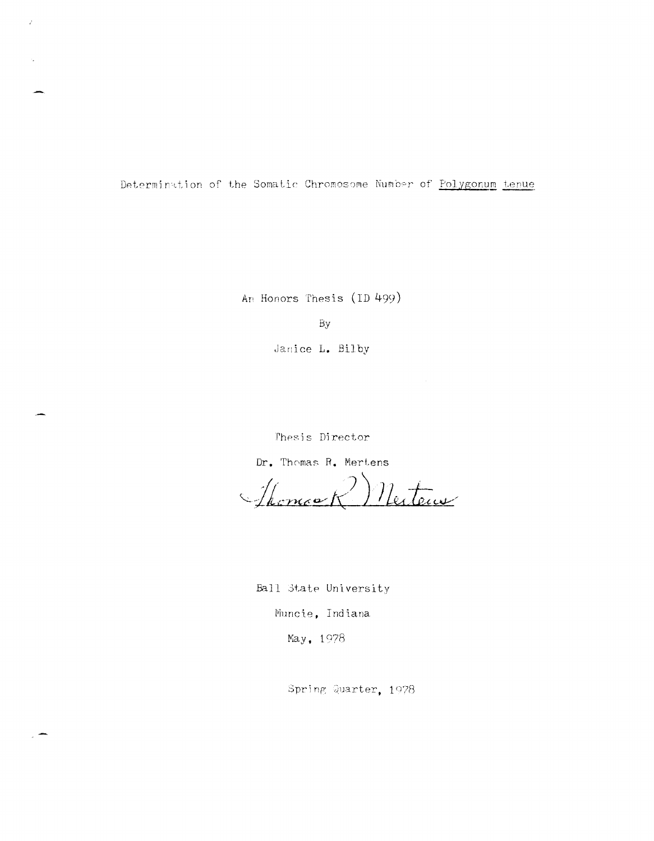Determination of the Somatic Chromosome Number of Polygonum tenue

An Honors Thesis (ID 499)

By

Janice L. Bilby

Thesis Director

Dr. Thomas R. Mertens

Mertena Thomask

Ball State University

Muncie, Indiana

May, 1978

Spring Quarter, 1978

 $\vec{r}$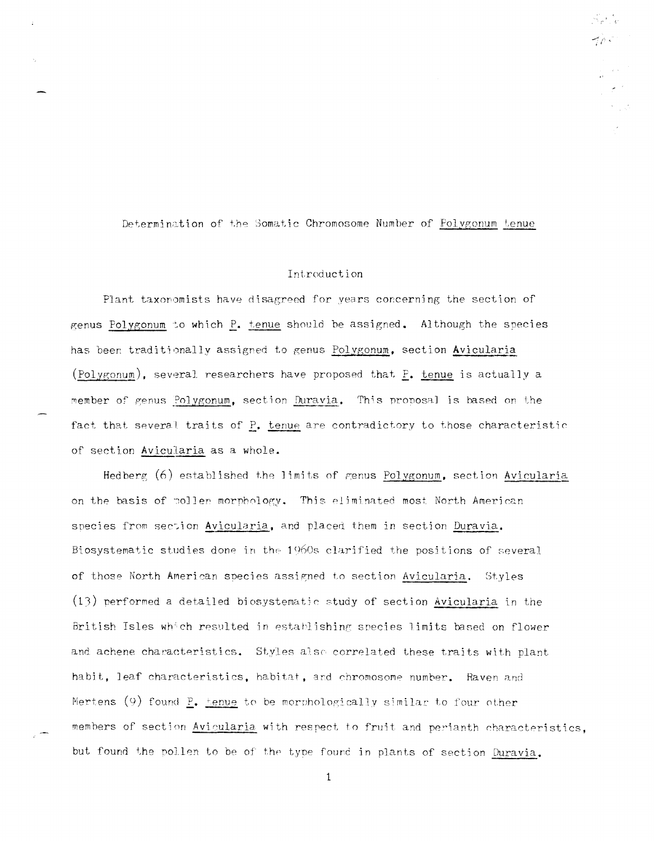Determination of the Somatic Chromosome Number of Polygonum tenue

## Introduction

Plant taxonomists have disagreed for years concerning the section of genus Polygonum to which P. tenue should be assigned. Although the species has been traditionally assigned to genus Polygonum, section Avicularia (Polygonum), several researchers have proposed that P. tenue is actually a member of genus Polygonum, section Duravia. This proposal is based on the fact that several traits of P. tenue are contradictory to those characteristic of section Avicularia as a whole.

Hedberg (6) established the limits of genus Polygonum, section Avicularia on the basis of poller morphology. This eliminated most North American species from section Avicularia, and placed them in section Duravia. Biosystematic studies done in the 1960s clarified the positions of several of those North American species assigned to section Avicularia. Styles (13) performed a detailed biosystematic study of section Avicularia in the British Isles which resulted in establishing species limits based on flower and achene characteristics. Styles also correlated these traits with plant habit, leaf characteristics, habitat, and chromosome number. Raven and Mertens  $(9)$  found P. henve to be morphologically similar to four other members of section Avicularia with respect to fruit and perianth characteristics, but found the pollen to be of the type found in plants of section Duravia.

 $\mathbf{1}$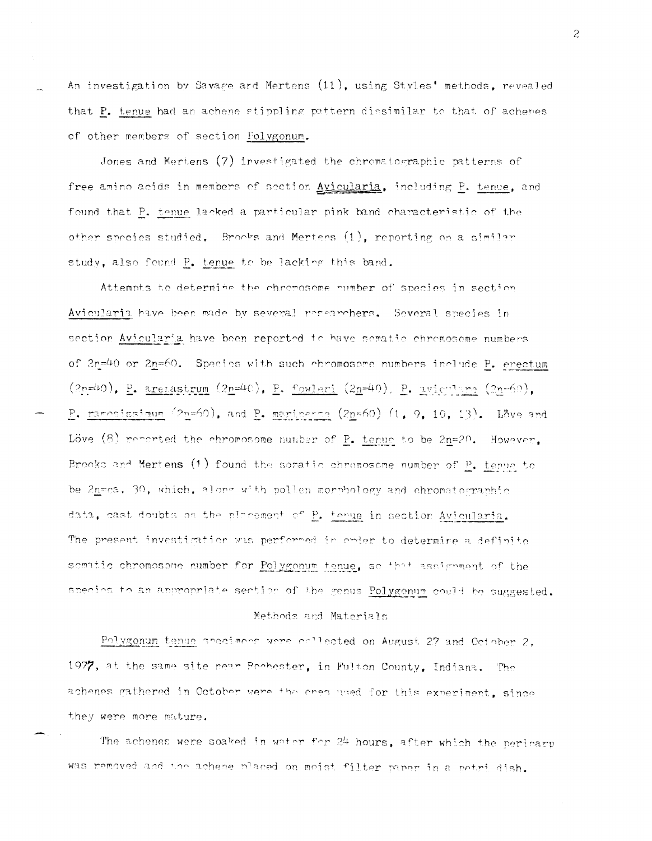An investigation by Savage ard Mertens (11), using Styles' methods, revealed that P. tenue had an achene stippling pattern dissimilar to that of achenes of other members of section Folygonum.

Jones and Mertens (7) investigated the chromatographic patterns of free amino acids in members of section Avicularia, including P. tenue, and found that P. tenue lacked a particular pink band characteristic of the other species studied. Brooks and Mertens (1), reporting on a similar study, also found P. tenue to be lacking this band.

Attemnts to determine the chromosome number of species in section Avicularia have been made by several researchers. Several species in section Avicularia have been reported to have sematic chromosome numbers of 2n=40 or 2n=60. Species with such chromosome numbers include P. erectum  $(2n=40)$ , P. arenastrum  $(2n=40)$ , P. fowleri  $(2n=40)$ , P. avienting  $(2n=60)$ , P. ragosissimum  $(2n=60)$ , and P. marinerse  $(2n=60)$   $(1, 9, 10, 13)$ . Love and Löve  $(8)$  renorted the chromosome number of  $P_+$  tenue to be 2n=20. However, Brooks and Mertens (1) found the somatic chromosome number of P, tenue to be 2n=ca. 30, which, along with pollen morphology and chromatographic data, cast doubts on the placement of P. tenue in section Avicularia. The present investigation was performed in order to determine a definite sematic chromosone number for Polygonum tenue, so that assignment of the species to an appropriate section of the genus Polygonum could be suggested. Methods and Materials

Polygonum tenue areciment were collected on August 27 and October 2. 1977, at the same site near Bochester, in Fulton County, Indiana. The achenes gathered in October were the cres used for this experiment, since they were more mature.

The achenes were soaked in water for 24 hours, after which the pericarp was removed and the achene placed on moist filter paper in a petri dish.

 $\tilde{z}$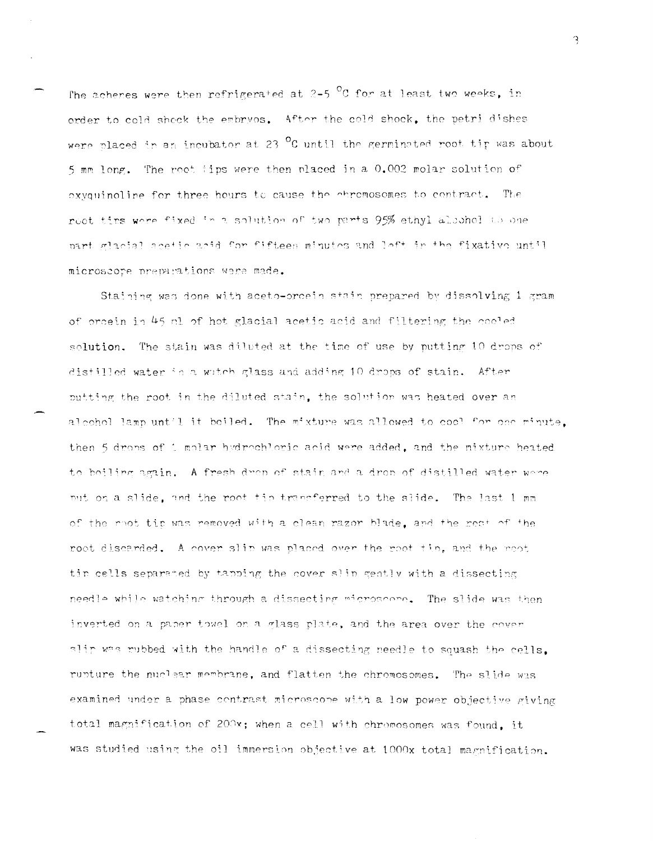The acheres were then refrigerated at  $2-5$  <sup>O</sup>C for at least two weeks, in order to cold shock the embryos. After the cold shock, the petri dishes were placed in an incubator at 23  $^{\circ}$ C until the germinated root tip was about 5 mm long. The root tips were then placed in a 0.002 molar solution of exvaningline for three hours to cause the entremosomes to contract. The rect tips were fixed in a solution of two parts 95% ethyl albohol to one part glacial acetic acid for fifteen minutes and left in the fixative until microscope preparations were made.

Staining was done with aceto-ordein stain prepared by dissolving 1 gram of orcein in 45 ml of hot glacial acetic acid and filtering the cooled solution. The stain was diluted at the time of use by putting 10 drops of distilled water in a watch glass and adding 10 drops of stain. After putting the root in the diluted stain, the solution was heated over an alcohol lamp until it boiled. The mixture was allowed to cool for one minute. then 5 drops of 1 molar hydrochloric acid were added, and the mixture heated to boiling again. A fresh drop of stain and a drop of distilled water were put on a slide, and the root tip transferred to the slide. The last 1 mm of the moot tip was removed with a clean razor blade, and the rest of the root discarded. A cover slip was placed over the root tip, and the root tin cells separated by tapping the cover slip gently with a dissecting needle while watching through a dissecting microscope. The slide was then inverted on a paper towel on a glass plate, and the area over the cover alip was mubbed with the handle of a dissecting needle to squash the cells. rupture the nuclear membrane, and flatten the chromosomes. The slide was examined under a phase contrast microscope with a low power objective giving total magnification of 200x; when a cell with chromosomes was found. it was studied using the oil immersion objective at 1000x total magnification.

3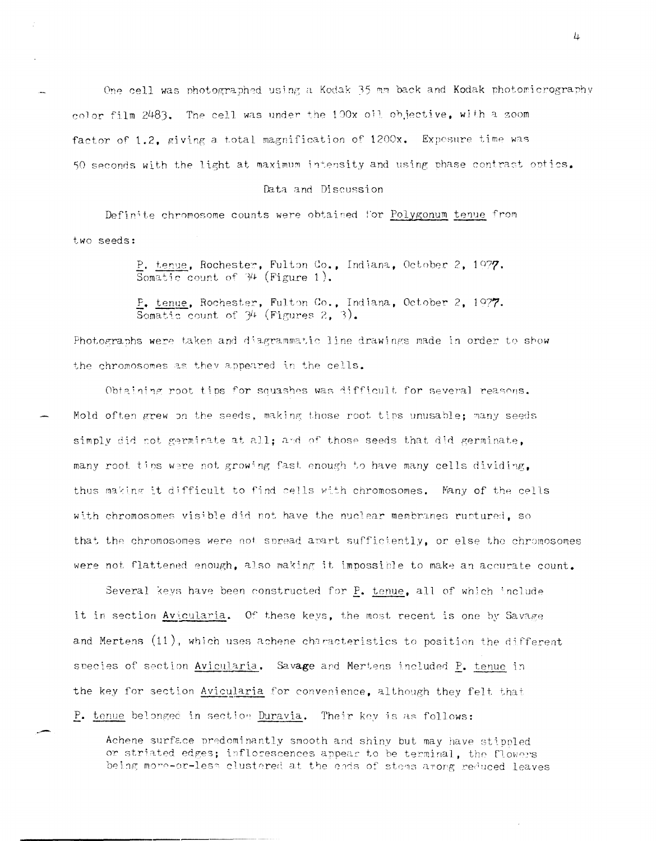One cell was photographed using a Kodak 35 mm back and Kodak photomicrography color film 2483. The cell was under the 100x oil objective, with a zoom factor of 1.2, giving a total magnification of 1200x. Expesure time was 50 seconds with the light at maximum intensity and using phase contrast optics.

Data and Discussion

Definite chromosome counts were obtained for Polygonum tenue from two seeds:

> P. tenue, Rochester, Fulton Co., Indiana, October 2, 1977. Somatic count of  $34$  (Figure 1).

> P. tenue, Rochester, Fulton Co., Indiana, October 2, 1977. Somatic count of  $34$  (Figures 2, 3).

Photographs were taken and diagrammatic line drawings made in order to show the chromosomes as they appeared in the cells.

Obtaining root tips for squashes was difficult for several reasons. Mold often grew on the seeds, making those root tips unusable; many seeds simply did not germinate at all; and of those seeds that did germinate, many root tips were not growing fast enough to have many cells dividing, thus making it difficult to find cells with chromosomes. Many of the cells with chromosomes visible did not have the nuclear membranes ruptured, so that the chromosomes were not spread apart sufficiently, or else the chromosomes were not flattened enough, also making it impossible to make an accurate count.

Several keys have been constructed for P. tenue, all of which include it in section Avicularia. Of these keys, the most recent is one by Savage and Mertens (11), which uses achene characteristics to position the different species of section Avicularia. Savage and Mertens included P. tenue in the key for section Avicularia for convenience, although they felt that P. tenue belonged in section Duravia. Their key is as follows:

Achene surface predominantly smooth and shiny but may have stippled or striated edges; inflorescences appear to be terminal, the flowers being more-or-less clustered at the ends of stems among reduced leaves 4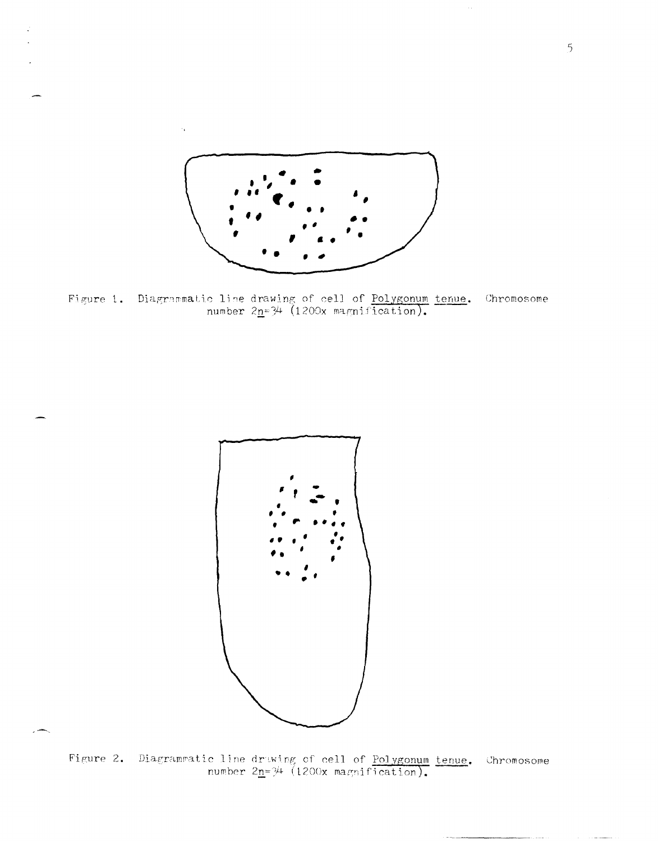

 $\sim$ 

Figure 1. Diagrammatic line drawing of cell of Polygonum tenue. Chromosome number  $2n=34$  (1200x magnification).



Figure 2. Diagrammatic line druwing of cell of <u>Polygonum</u> tenue.<br>number  $2n=3^{4}$  (1200x magnification). Chromosome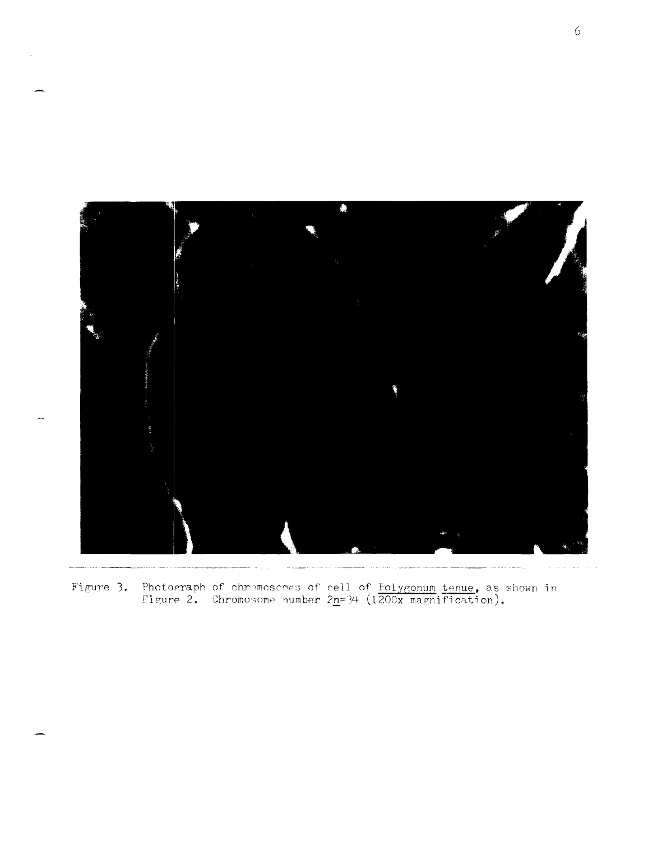

Figure 3. Photograph of chromosomes of cell of Folygonum tenue, as shown in Figure 2. Chromosome number  $2n=3/4$  (1200x magnification).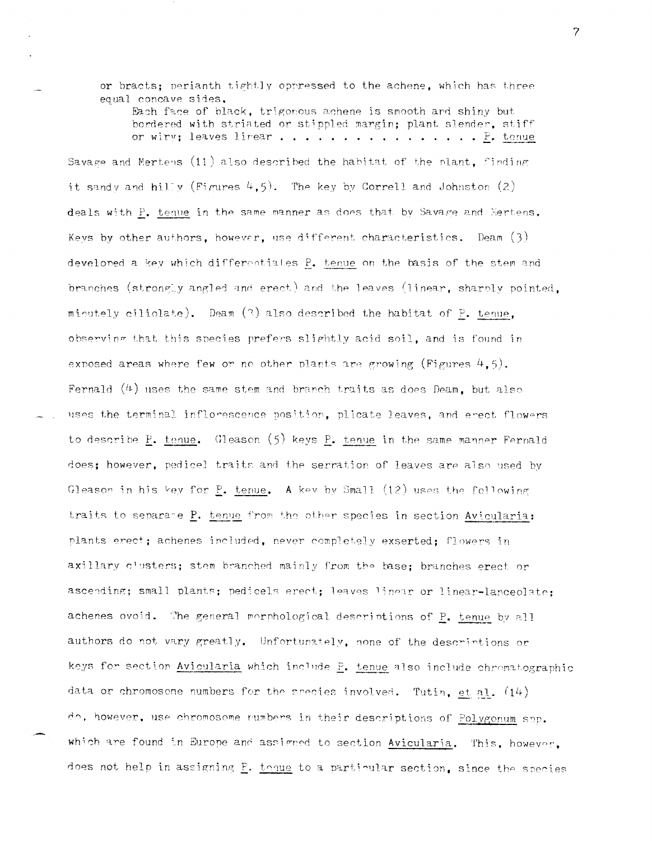or bracts; perianth tightly oppressed to the achene, which has three equal concave sides.

Each face of black, trigonous achene is smooth and shiny but bordered with striated or stippled margin; plant slender, stiff or wirv; leaves lirear . . . . . . . . . . . . . . .  $\mathbb{P}$ . tenue

Savage and Mertens  $(11)$  also described the habitat of the plant, finding it sandy and hilly (Figures  $4,5$ ). The key by Correll and Johnston (2) deals with P. tenue in the same manner as does that by Savare and Mertens. Keys by other authors, however, use different characteristics. Deam  $(3)$ develoned a key which differentiates P. tenue on the basis of the stem and branches (strongly angled and erect) and the leaves (linear, sharply pointed, minutely ciliolate). Deam  $(2)$  also described the habitat of P. tenue, observing that this species prefers slightly acid soil, and is found in exposed areas where few or no other plants are growing (Figures  $4.5$ ). Fernald  $(4)$  uses the same stem and branch traits as does Deam, but also uses the terminal inflorescence position, plicate leaves, and erect flowers to describe P. tenue. Gleason (5) keys P. tenue in the same manner Fernald does; however, pedicel traits and the serration of leaves are also used by Gleason in his key for  $P_1$ , tenue. A key by Small (12) uses the following traits to separate P. tenue from the other species in section Avicularia: plants erect; achenes included, never completely exserted; flowers in axillary clusters; stem branched mainly from the base; branches erect or ascending; small plants; pedicels erect; leaves linear or linear-lanceolate; achenes ovoid. The general morphological descriptions of P. tenue by all authors do not vary greatly. Unfortunately, none of the descriptions or keys for section Avicularia which include P. tenue also include chromatographic data or chromosone numbers for the species involved. Tutin, et al.  $(14)$ do, however, use chromosome rumbers in their descriptions of Polygonum spp. which are found in Europe and assigned to section Avicularia. This, however, does not help in assigning P. tenue to a particular section, since the species

 $\overline{7}$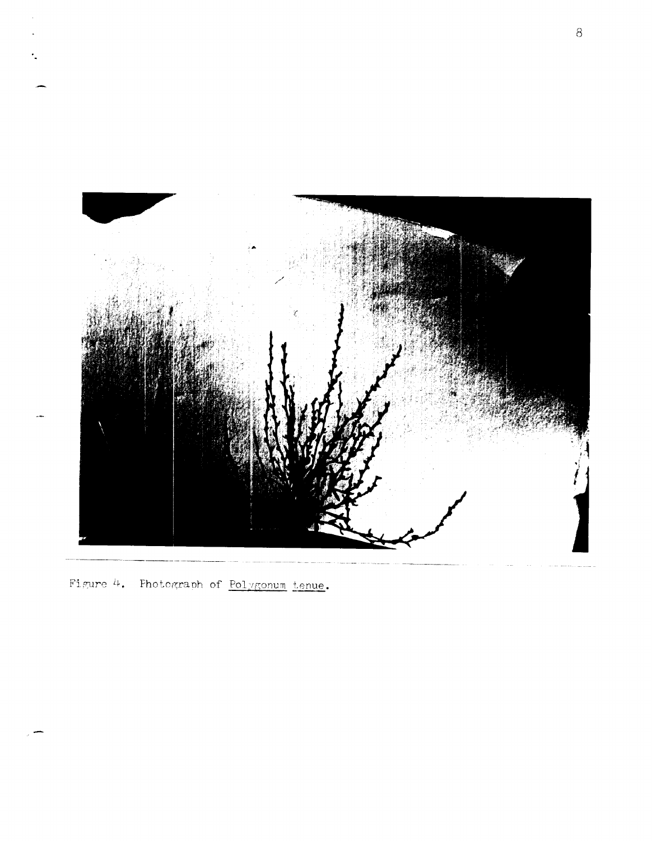

Figure 4. Photograph of Polygonum tenue.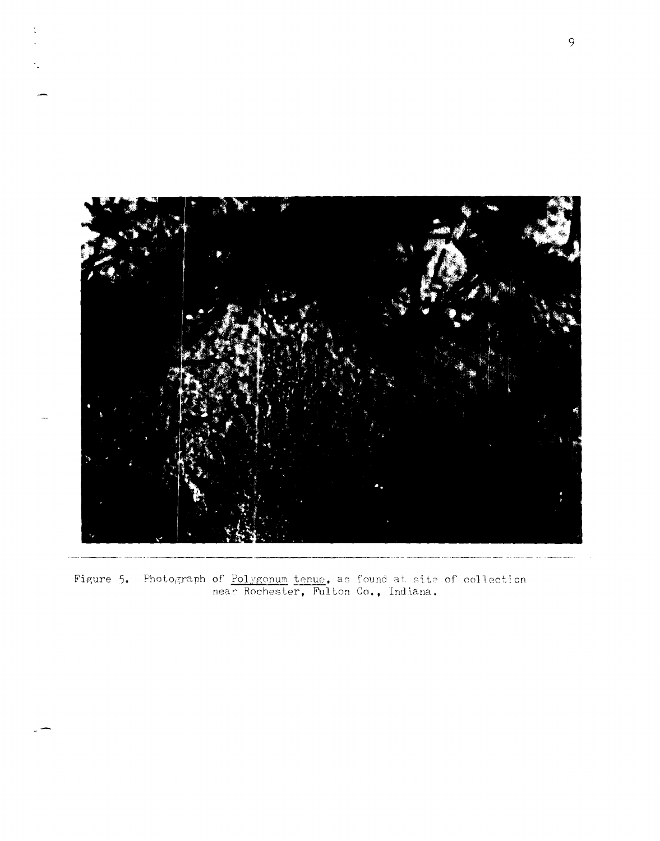

Figure 5. Photograph of Polygonum tenue. as found at site of collection<br>near Rochester, Fulton Co., Indiana.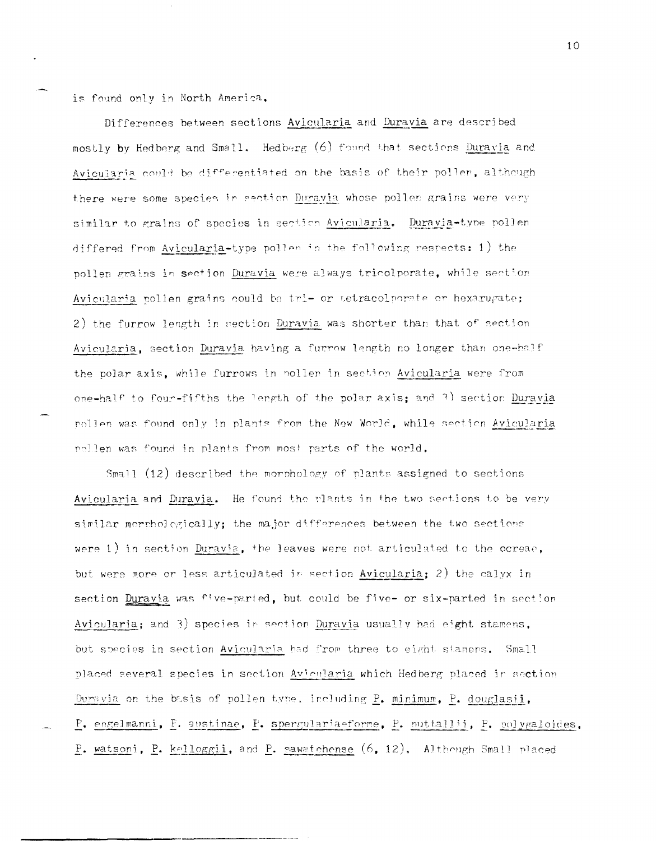is found only in North America,

Differences between sections Avicularia and Duravia are described mostly by Hedberg and Small. Hedberg (6) found that sections Duravia and Avicularia could be differentiated on the basis of their poller, although there were some species in section Duravia whose pollen grains were very similar to grains of species in section Avicularia. Duravia-type pollen differed from Avicularia-type pollen in the following respects: 1) the pollen grains in section Duravia were always tricolporate, while section Avicularia pollen grains could be tri- or tetracolporate or hexarugate; 2) the furrow length in section Duravia was shorter than that of section Avicularia, section Duravia having a furrow length no longer than one-half the polar axis, while furrows in pollen in section Avicularia were from one-half to four-fifths the length of the polar axis; and 3) section Duravia nollen was found only in plants from the New World, while section Avicularia nollen was found in plants from most parts of the world.

Small (12) described the morphology of plants assigned to sections Avicularia and Duravia. He found the plants in the two sections to be very similar morehologically: the major differences between the two sections were 1) in section Duravia, the leaves were not articulated to the ocreae, but were more or less articulated in section Avicularia: 2) the calvx in section Duravia was five-parted, but could be five- or six-parted in section Avicularia; and 3) species in section Duravia usually had eight stamens, but species in section Avicularia had from three to eight stamens. Small placed several species in section Avicularia which Hedberg placed in section Duravia on the basis of pollen type, including P. minimum, P. douglasii, P. engelmanni, P. austinae, P. spergulariaeforme, P. nuttallii, P. polygaloides, P. watsoni, P. kelloggii, and P. sawatchense (6, 12), Although Small placed

10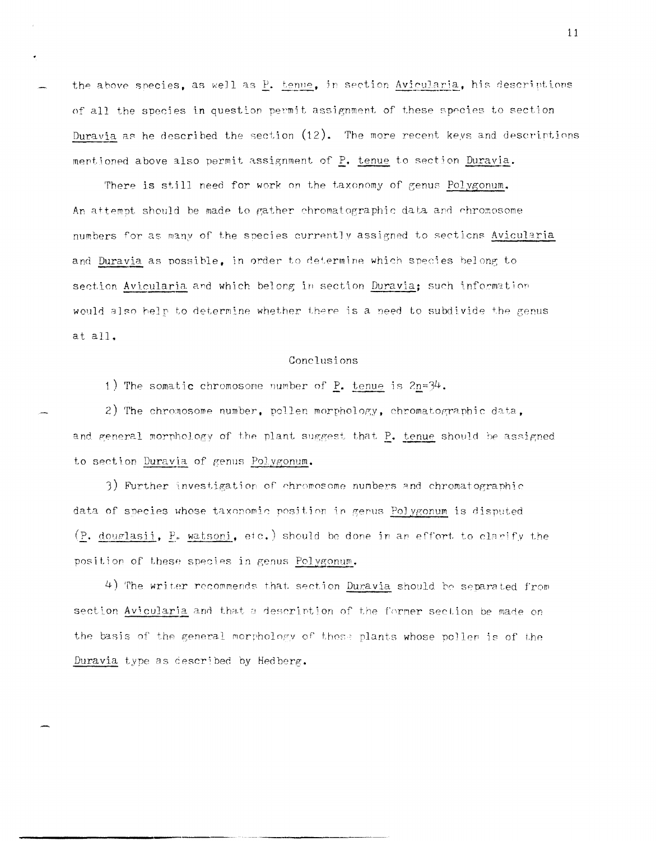the above species, as well as P. tenue, in section Avicularia, his descriptions of all the species in question permit assignment of these species to section Duravia as he described the section  $(12)$ . The more recent keys and descriptions mentioned above also permit assignment of P. tenue to section Duravia.

There is still need for work on the taxonomy of genus Polygonum. An attempt should be made to gather chromatographic data and chromosome numbers for as many of the species currently assigned to sections Avicularia and Duravia as possible, in order to determine which species belong to section Avicularia and which belong in section Duravia; such information would also help to determine whether there is a need to subdivide the genus at all.

## Conclusions

1) The somatic chromosome number of  $P_$ . tenue is  $2n=34$ .

2) The chromosome number, pollen morphology, chromatographic data, and general morphology of the plant suggest that P. tenue should be assigned to section Duravia of genus Polygonum.

3) Further investigation of chromosome numbers and chromatographic data of species whose taxonomic position in genus Polygonum is disputed (P. douglasii, P. watsoni, etc.) should be done in an effort to clarify the position of these species in genus Polygonum.

4) The writer recommends that section Duravia should be separated from section Avicularia and that a description of the former section be made on the basis of the general morphology of those plants whose poller is of the Duravia type as described by Hedberg.